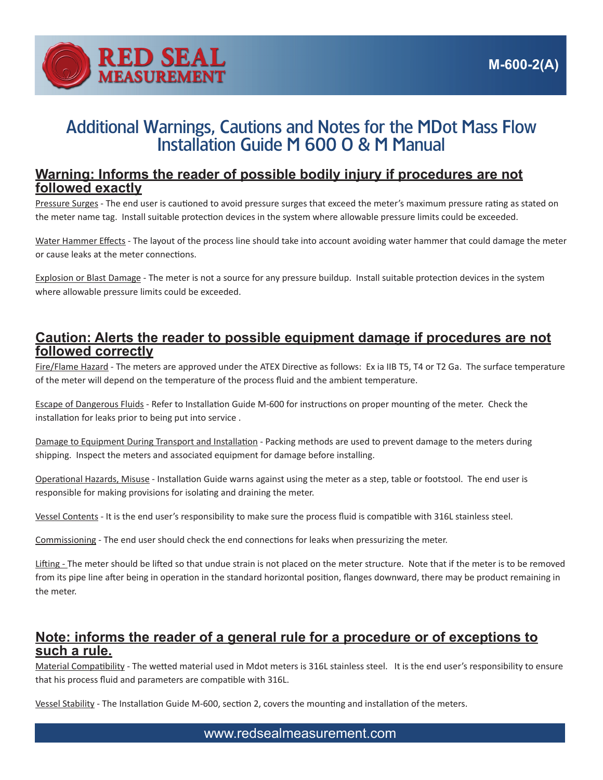

## Additional Warnings, Cautions and Notes for the MDot Mass Flow Installation Guide M 600 O & M Manual

## **Warning: Informs the reader of possible bodily injury if procedures are not followed exactly**

Pressure Surges - The end user is cautioned to avoid pressure surges that exceed the meter's maximum pressure rating as stated on the meter name tag. Install suitable protection devices in the system where allowable pressure limits could be exceeded.

Water Hammer Effects - The layout of the process line should take into account avoiding water hammer that could damage the meter or cause leaks at the meter connections.

Explosion or Blast Damage - The meter is not a source for any pressure buildup. Install suitable protection devices in the system where allowable pressure limits could be exceeded.

## **Caution: Alerts the reader to possible equipment damage if procedures are not followed correctly**

Fire/Flame Hazard - The meters are approved under the ATEX Directive as follows: Ex ia IIB T5, T4 or T2 Ga. The surface temperature of the meter will depend on the temperature of the process fluid and the ambient temperature.

Escape of Dangerous Fluids - Refer to Installation Guide M-600 for instructions on proper mounting of the meter. Check the installation for leaks prior to being put into service .

Damage to Equipment During Transport and Installation - Packing methods are used to prevent damage to the meters during shipping. Inspect the meters and associated equipment for damage before installing.

Operational Hazards, Misuse - Installation Guide warns against using the meter as a step, table or footstool. The end user is responsible for making provisions for isolating and draining the meter.

Vessel Contents - It is the end user's responsibility to make sure the process fluid is compatible with 316L stainless steel.

Commissioning - The end user should check the end connections for leaks when pressurizing the meter.

Lifting - The meter should be lifted so that undue strain is not placed on the meter structure. Note that if the meter is to be removed from its pipe line after being in operation in the standard horizontal position, flanges downward, there may be product remaining in the meter.

## **Note: informs the reader of a general rule for a procedure or of exceptions to such a rule.**

Material Compatibility - The wetted material used in Mdot meters is 316L stainless steel. It is the end user's responsibility to ensure that his process fluid and parameters are compatible with 316L.

Vessel Stability - The Installation Guide M-600, section 2, covers the mounting and installation of the meters.